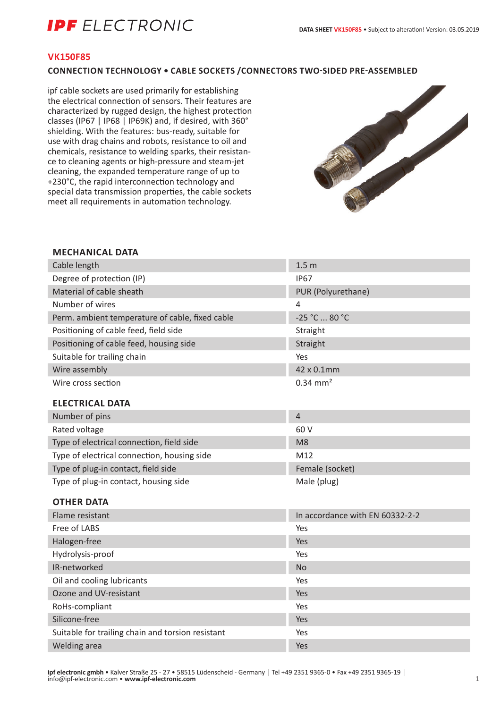# **IPF** ELECTRONIC

### **VK150F85**

### **CONNECTION TECHNOLOGY • CABLE SOCKETS /CONNECTORS TWO-SIDED PRE-ASSEMBLED**

ipf cable sockets are used primarily for establishing the electrical connection of sensors. Their features are characterized by rugged design, the highest protection classes (IP67 | IP68 | IP69K) and, if desired, with 360° shielding. With the features: bus-ready, suitable for use with drag chains and robots, resistance to oil and chemicals, resistance to welding sparks, their resistance to cleaning agents or high-pressure and steam-jet cleaning, the expanded temperature range of up to +230°C, the rapid interconnection technology and special data transmission properties, the cable sockets meet all requirements in automation technology.



### **MECHANICAL DATA**

| Cable length                                      | 1.5 <sub>m</sub>                |
|---------------------------------------------------|---------------------------------|
| Degree of protection (IP)                         | <b>IP67</b>                     |
| Material of cable sheath                          | PUR (Polyurethane)              |
| Number of wires                                   | 4                               |
| Perm. ambient temperature of cable, fixed cable   | -25 °C  80 °C                   |
| Positioning of cable feed, field side             | Straight                        |
| Positioning of cable feed, housing side           | Straight                        |
| Suitable for trailing chain                       | Yes                             |
| Wire assembly                                     | 42 x 0.1mm                      |
| Wire cross section                                | $0.34 \, \text{mm}^2$           |
| <b>ELECTRICAL DATA</b>                            |                                 |
| Number of pins                                    | $\overline{4}$                  |
| Rated voltage                                     | 60 V                            |
| Type of electrical connection, field side         | M <sub>8</sub>                  |
| Type of electrical connection, housing side       | M12                             |
| Type of plug-in contact, field side               | Female (socket)                 |
| Type of plug-in contact, housing side             | Male (plug)                     |
| <b>OTHER DATA</b>                                 |                                 |
| Flame resistant                                   | In accordance with EN 60332-2-2 |
| Free of LABS                                      | Yes                             |
| Halogen-free                                      | Yes                             |
| Hydrolysis-proof                                  | Yes                             |
| IR-networked                                      | <b>No</b>                       |
| Oil and cooling lubricants                        | Yes                             |
| Ozone and UV-resistant                            | Yes                             |
| RoHs-compliant                                    | Yes                             |
| Silicone-free                                     | Yes                             |
| Suitable for trailing chain and torsion resistant | Yes                             |

Welding area Yes